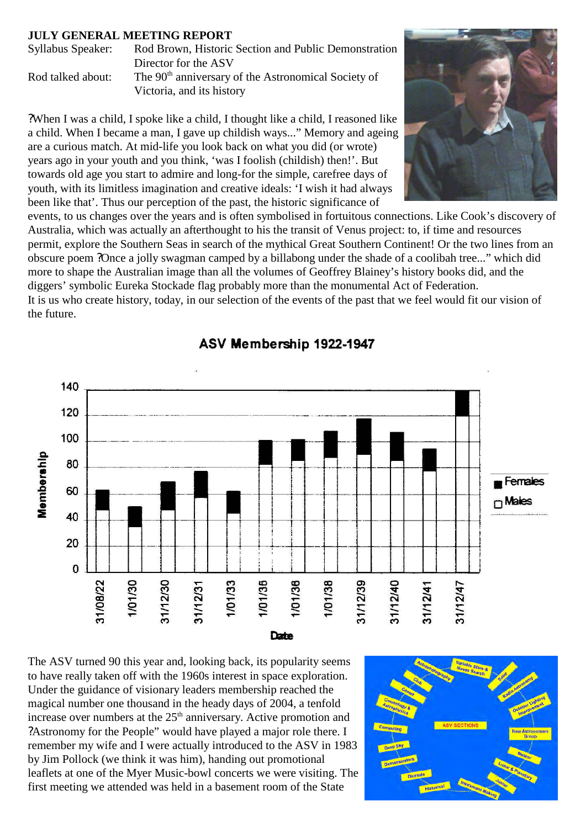## **JULY GENERAL MEETING REPORT**

| Syllabus Speaker: | Rod Brown, Historic Section and Public Demonstration            |
|-------------------|-----------------------------------------------------------------|
|                   | Director for the ASV                                            |
| Rod talked about: | The 90 <sup>th</sup> anniversary of the Astronomical Society of |
|                   | Victoria, and its history                                       |

?When I was a child, I spoke like a child, I thought like a child, I reasoned like a child. When I became a man, I gave up childish ways..." Memory and ageing are a curious match. At mid-life you look back on what you did (or wrote) years ago in your youth and you think, 'was I foolish (childish) then!'. But towards old age you start to admire and long-for the simple, carefree days of youth, with its limitless imagination and creative ideals: 'I wish it had always been like that'. Thus our perception of the past, the historic significance of



events, to us changes over the years and is often symbolised in fortuitous connections. Like Cook's discovery of Australia, which was actually an afterthought to his the transit of Venus project: to, if time and resources permit, explore the Southern Seas in search of the mythical Great Southern Continent! Or the two lines from an obscure poem ?Once a jolly swagman camped by a billabong under the shade of a coolibah tree..." which did more to shape the Australian image than all the volumes of Geoffrey Blainey's history books did, and the diggers' symbolic Eureka Stockade flag probably more than the monumental Act of Federation. It is us who create history, today, in our selection of the events of the past that we feel would fit our vision of the future.



## ASV Membership 1922-1947

The ASV turned 90 this year and, looking back, its popularity seems to have really taken off with the 1960s interest in space exploration. Under the guidance of visionary leaders membership reached the magical number one thousand in the heady days of 2004, a tenfold increase over numbers at the  $25<sup>th</sup>$  anniversary. Active promotion and ?Astronomy for the People" would have played a major role there. I remember my wife and I were actually introduced to the ASV in 1983 by Jim Pollock (we think it was him), handing out promotional leaflets at one of the Myer Music-bowl concerts we were visiting. The first meeting we attended was held in a basement room of the State